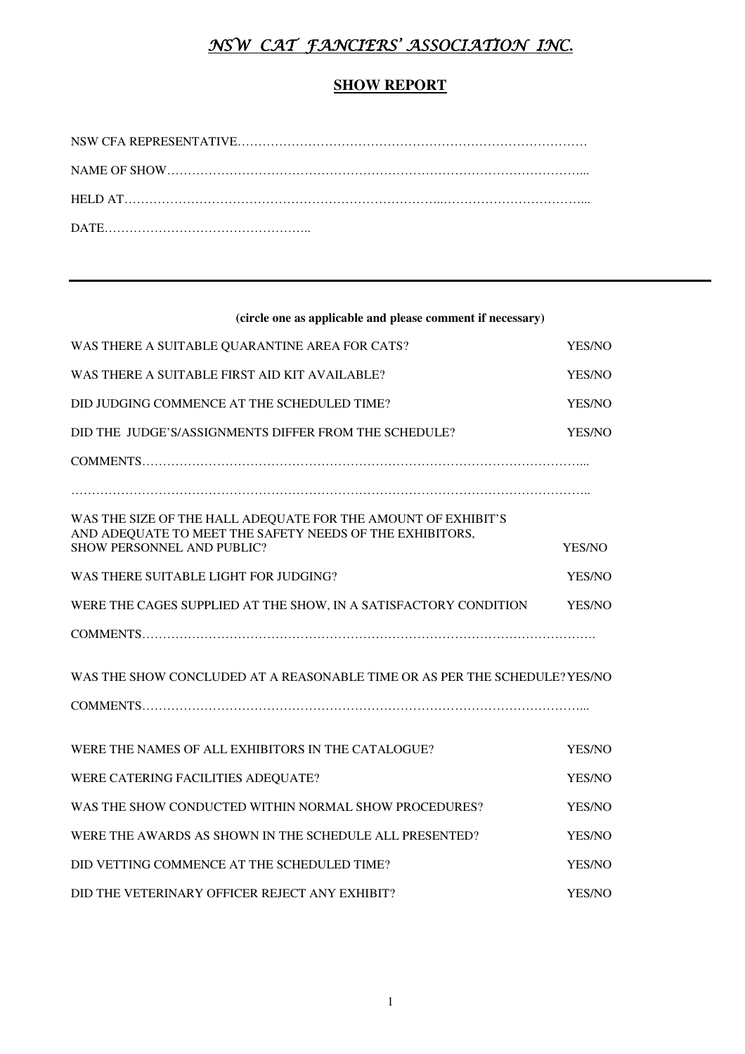# NSW CAT FANCIERS' ASSOCIATION INC.

## **SHOW REPORT**

### **(circle one as applicable and please comment if necessary)**

| WAS THERE A SUITABLE QUARANTINE AREA FOR CATS?                                                                                                          | YES/NO |
|---------------------------------------------------------------------------------------------------------------------------------------------------------|--------|
| WAS THERE A SUITABLE FIRST AID KIT AVAILABLE?                                                                                                           | YES/NO |
| DID JUDGING COMMENCE AT THE SCHEDULED TIME?                                                                                                             | YES/NO |
| DID THE JUDGE'S/ASSIGNMENTS DIFFER FROM THE SCHEDULE?                                                                                                   | YES/NO |
|                                                                                                                                                         |        |
|                                                                                                                                                         |        |
| WAS THE SIZE OF THE HALL ADEQUATE FOR THE AMOUNT OF EXHIBIT'S<br>AND ADEQUATE TO MEET THE SAFETY NEEDS OF THE EXHIBITORS,<br>SHOW PERSONNEL AND PUBLIC? | YES/NO |
| WAS THERE SUITABLE LIGHT FOR JUDGING?                                                                                                                   | YES/NO |
| WERE THE CAGES SUPPLIED AT THE SHOW, IN A SATISFACTORY CONDITION                                                                                        | YES/NO |
|                                                                                                                                                         |        |
| WAS THE SHOW CONCLUDED AT A REASONABLE TIME OR AS PER THE SCHEDULE? YES/NO                                                                              |        |
|                                                                                                                                                         |        |
| WERE THE NAMES OF ALL EXHIBITORS IN THE CATALOGUE?                                                                                                      | YES/NO |
| WERE CATERING FACILITIES ADEQUATE?                                                                                                                      | YES/NO |
| WAS THE SHOW CONDUCTED WITHIN NORMAL SHOW PROCEDURES?                                                                                                   | YES/NO |
| WERE THE AWARDS AS SHOWN IN THE SCHEDULE ALL PRESENTED?                                                                                                 | YES/NO |
| DID VETTING COMMENCE AT THE SCHEDULED TIME?                                                                                                             | YES/NO |
| DID THE VETERINARY OFFICER REJECT ANY EXHIBIT?                                                                                                          | YES/NO |